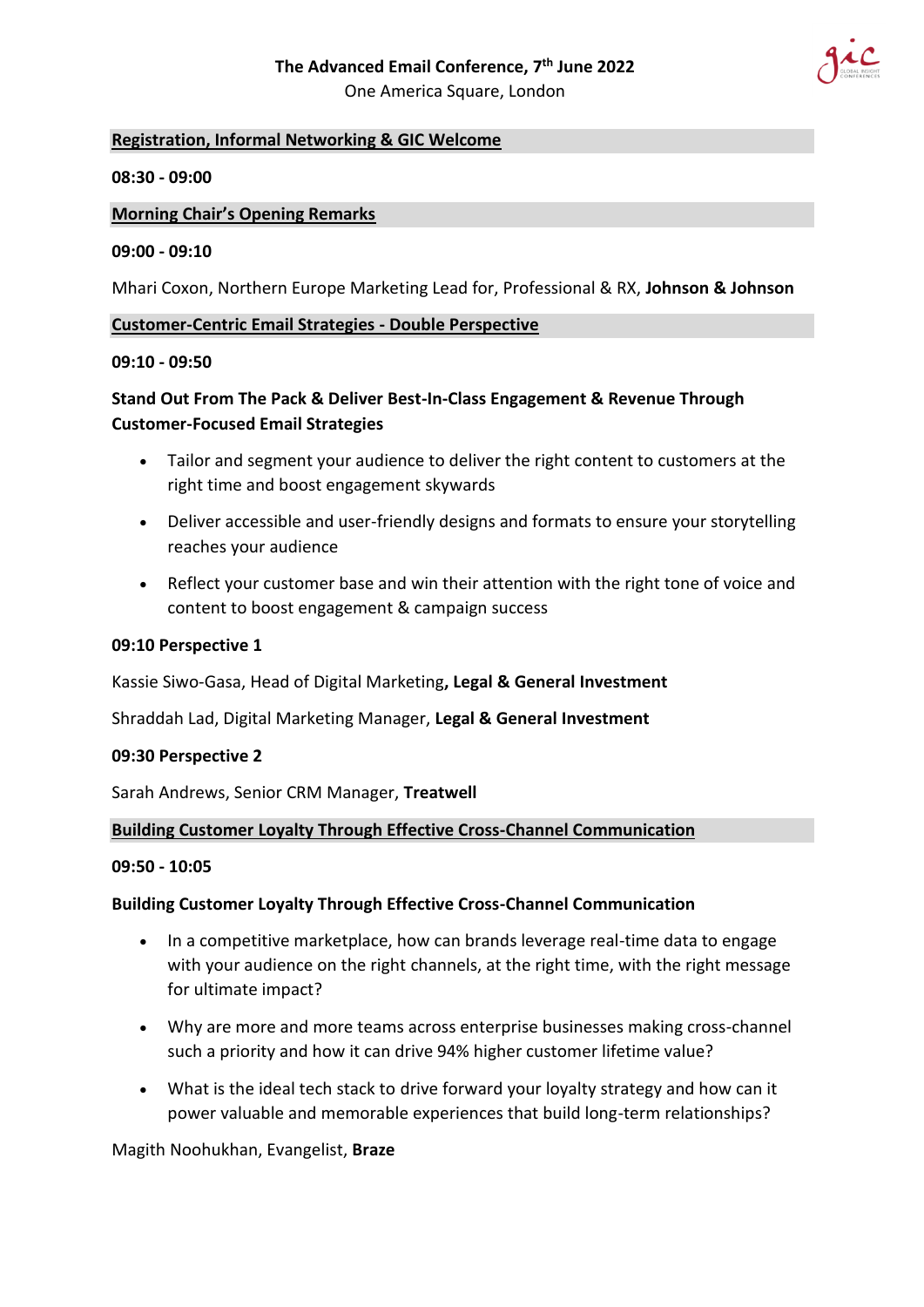

# **Registration, Informal Networking & GIC Welcome**

### **08:30 - 09:00**

### **Morning Chair's Opening Remarks**

#### **09:00 - 09:10**

Mhari Coxon, Northern Europe Marketing Lead for, Professional & RX, **Johnson & Johnson**

### **Customer-Centric Email Strategies - Double Perspective**

#### **09:10 - 09:50**

# **Stand Out From The Pack & Deliver Best-In-Class Engagement & Revenue Through Customer-Focused Email Strategies**

- Tailor and segment your audience to deliver the right content to customers at the right time and boost engagement skywards
- Deliver accessible and user-friendly designs and formats to ensure your storytelling reaches your audience
- Reflect your customer base and win their attention with the right tone of voice and content to boost engagement & campaign success

#### **09:10 Perspective 1**

Kassie Siwo-Gasa, Head of Digital Marketing**, Legal & General Investment**

Shraddah Lad, Digital Marketing Manager, **Legal & General Investment**

#### **09:30 Perspective 2**

Sarah Andrews, Senior CRM Manager, **Treatwell**

#### **Building Customer Loyalty Through Effective Cross-Channel Communication**

#### **09:50 - 10:05**

#### **Building Customer Loyalty Through Effective Cross-Channel Communication**

- In a competitive marketplace, how can brands leverage real-time data to engage with your audience on the right channels, at the right time, with the right message for ultimate impact?
- Why are more and more teams across enterprise businesses making cross-channel such a priority and how it can drive 94% higher customer lifetime value?
- What is the ideal tech stack to drive forward your loyalty strategy and how can it power valuable and memorable experiences that build long-term relationships?

#### Magith Noohukhan, Evangelist, **Braze**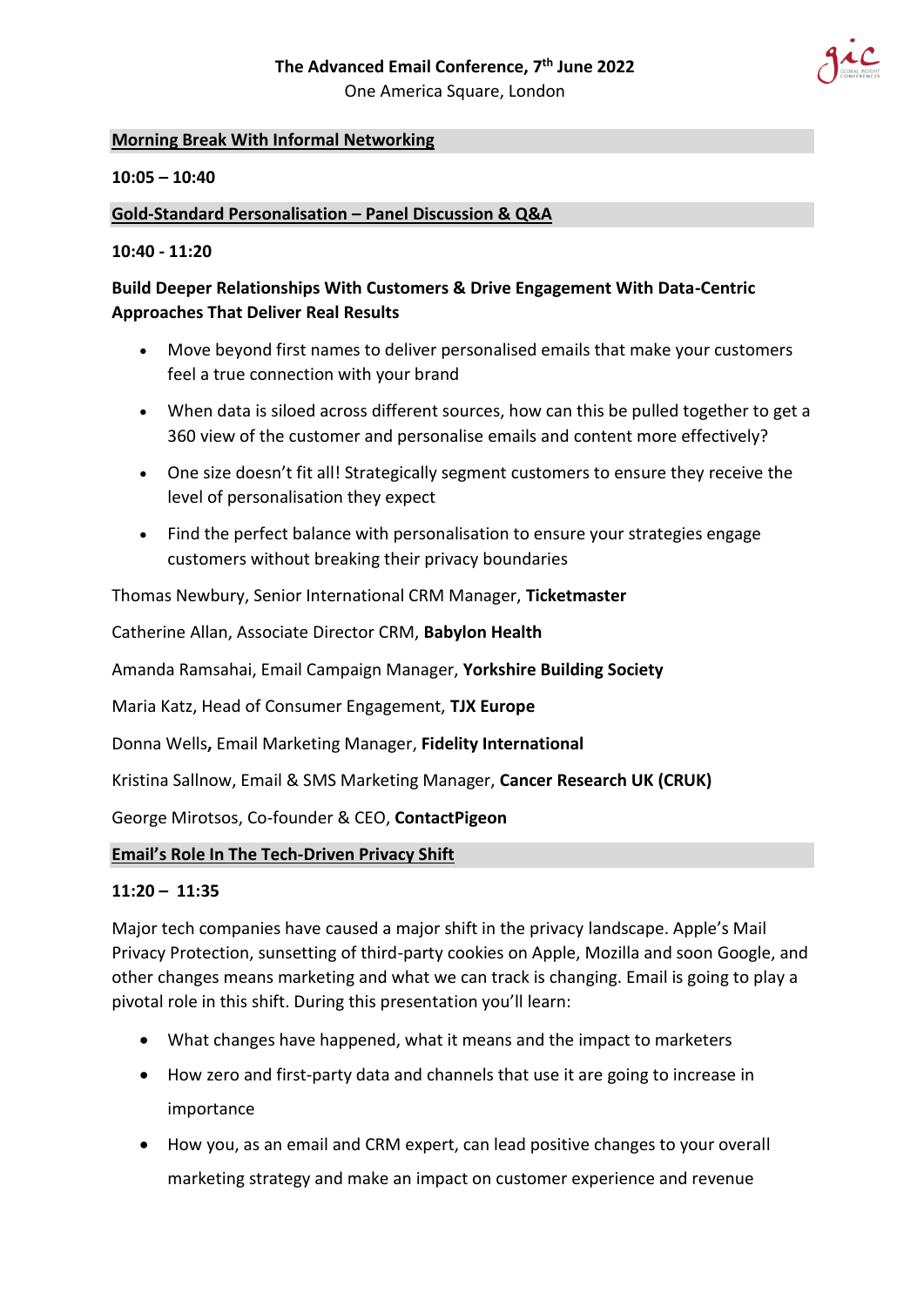

# **Morning Break With Informal Networking**

## **10:05 – 10:40**

## **Gold-Standard Personalisation – Panel Discussion & Q&A**

## **10:40 - 11:20**

# **Build Deeper Relationships With Customers & Drive Engagement With Data-Centric Approaches That Deliver Real Results**

- Move beyond first names to deliver personalised emails that make your customers feel a true connection with your brand
- When data is siloed across different sources, how can this be pulled together to get a 360 view of the customer and personalise emails and content more effectively?
- One size doesn't fit all! Strategically segment customers to ensure they receive the level of personalisation they expect
- Find the perfect balance with personalisation to ensure your strategies engage customers without breaking their privacy boundaries

Thomas Newbury, Senior International CRM Manager, **Ticketmaster**

Catherine Allan, Associate Director CRM, **Babylon Health**

Amanda Ramsahai, Email Campaign Manager, **Yorkshire Building Society**

Maria Katz, Head of Consumer Engagement, **TJX Europe**

Donna Wells**,** Email Marketing Manager, **Fidelity International**

Kristina Sallnow, Email & SMS Marketing Manager, **Cancer Research UK (CRUK)**

George Mirotsos, Co-founder & CEO, **ContactPigeon**

## **Email's Role In The Tech-Driven Privacy Shift**

## **11:20 – 11:35**

Major tech companies have caused a major shift in the privacy landscape. Apple's Mail Privacy Protection, sunsetting of third-party cookies on Apple, Mozilla and soon Google, and other changes means marketing and what we can track is changing. Email is going to play a pivotal role in this shift. During this presentation you'll learn:

- What changes have happened, what it means and the impact to marketers
- How zero and first-party data and channels that use it are going to increase in importance
- How you, as an email and CRM expert, can lead positive changes to your overall marketing strategy and make an impact on customer experience and revenue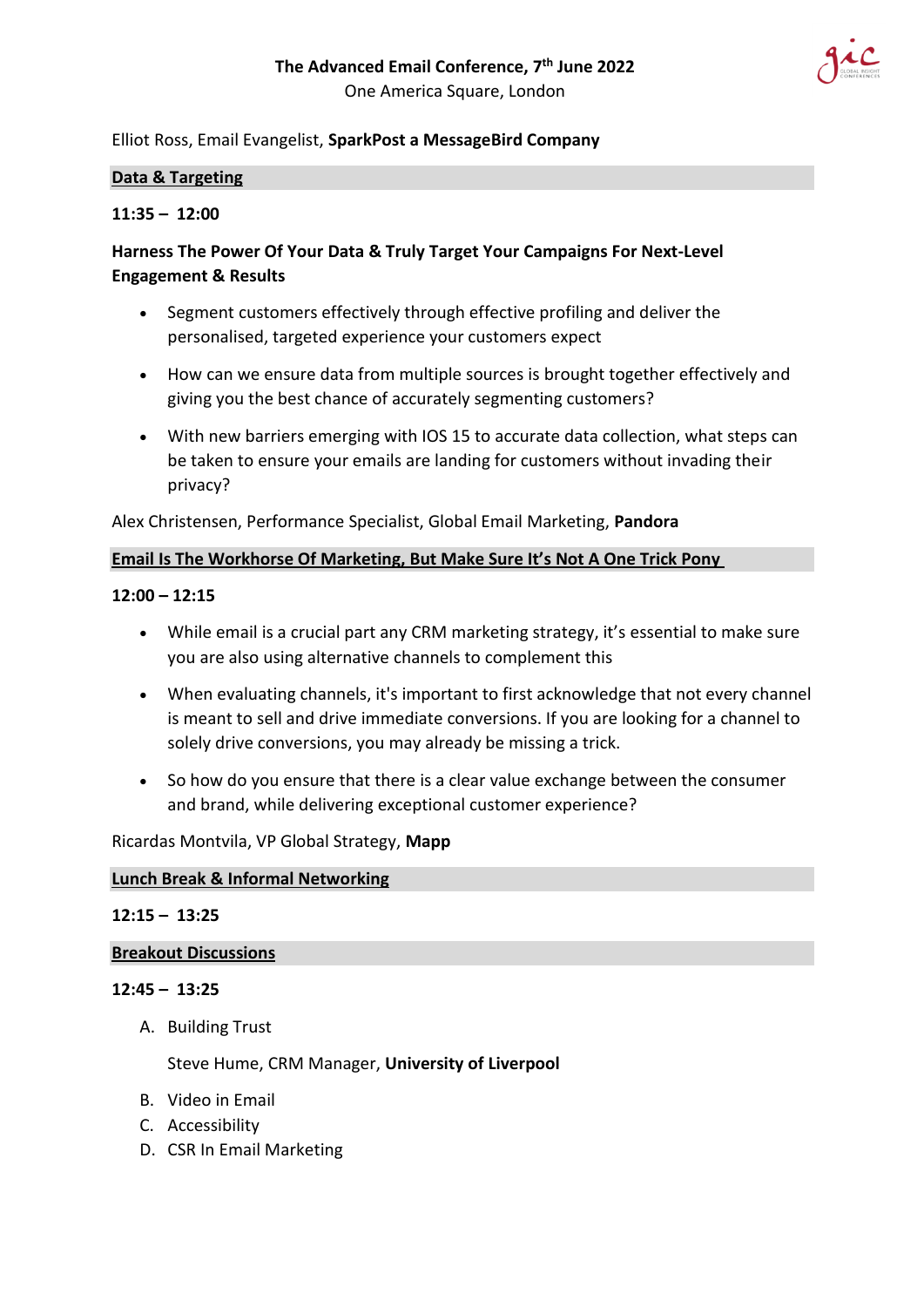

# Elliot Ross, Email Evangelist, **SparkPost a MessageBird Company**

#### **Data & Targeting**

### **11:35 – 12:00**

# **Harness The Power Of Your Data & Truly Target Your Campaigns For Next-Level Engagement & Results**

- Segment customers effectively through effective profiling and deliver the personalised, targeted experience your customers expect
- How can we ensure data from multiple sources is brought together effectively and giving you the best chance of accurately segmenting customers?
- With new barriers emerging with IOS 15 to accurate data collection, what steps can be taken to ensure your emails are landing for customers without invading their privacy?

Alex Christensen, Performance Specialist, Global Email Marketing, **Pandora**

### **Email Is The Workhorse Of Marketing, But Make Sure It's Not A One Trick Pony**

### **12:00 – 12:15**

- While email is a crucial part any CRM marketing strategy, it's essential to make sure you are also using alternative channels to complement this
- When evaluating channels, it's important to first acknowledge that not every channel is meant to sell and drive immediate conversions. If you are looking for a channel to solely drive conversions, you may already be missing a trick.
- So how do you ensure that there is a clear value exchange between the consumer and brand, while delivering exceptional customer experience?

Ricardas Montvila, VP Global Strategy, **Mapp**

### **Lunch Break & Informal Networking**

#### **12:15 – 13:25**

#### **Breakout Discussions**

#### **12:45 – 13:25**

A. Building Trust

Steve Hume, CRM Manager, **University of Liverpool**

- B. Video in Email
- C. Accessibility
- D. CSR In Email Marketing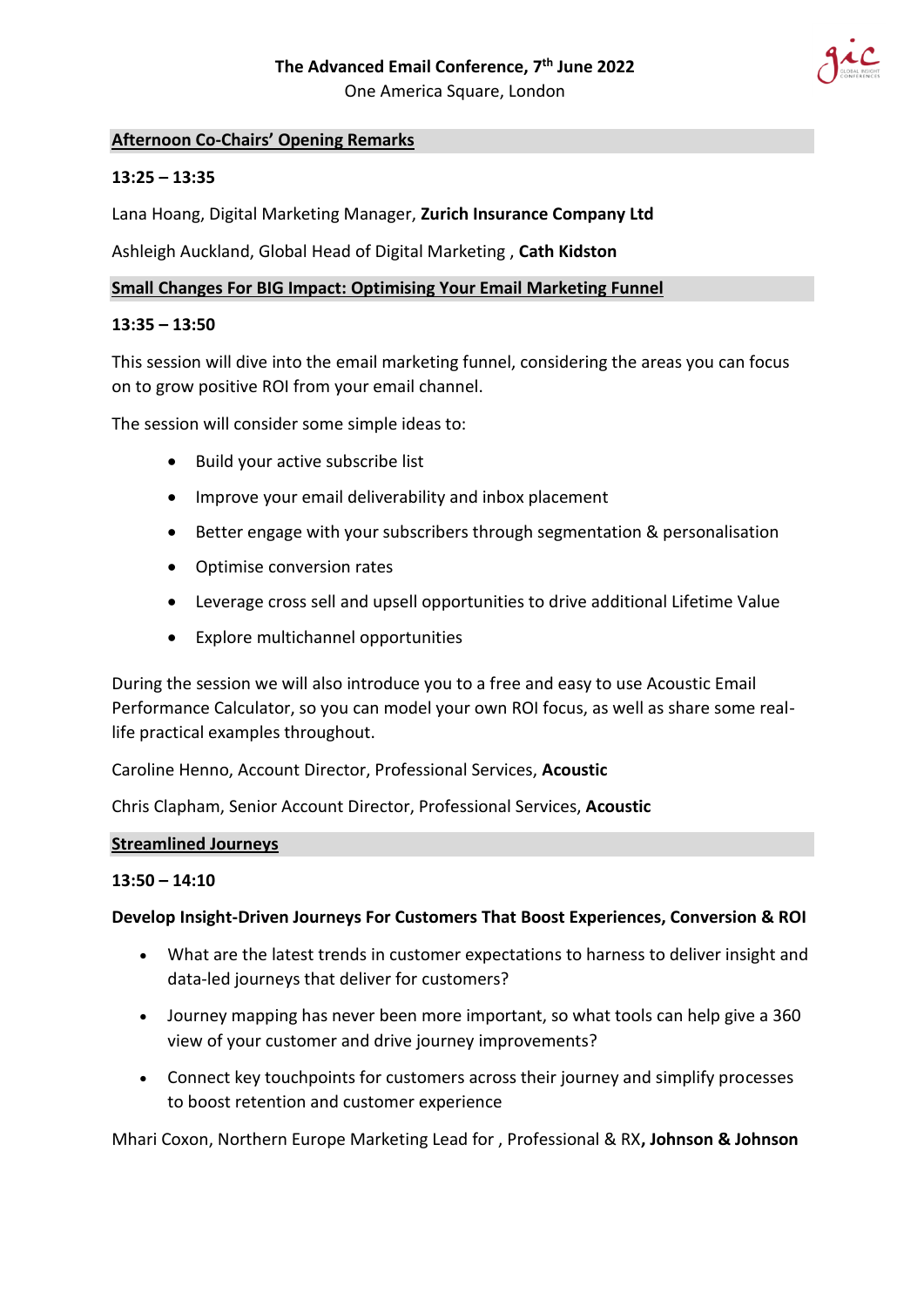

# **Afternoon Co-Chairs' Opening Remarks**

## **13:25 – 13:35**

Lana Hoang, Digital Marketing Manager, **Zurich Insurance Company Ltd**

Ashleigh Auckland, Global Head of Digital Marketing , **Cath Kidston**

#### **Small Changes For BIG Impact: Optimising Your Email Marketing Funnel**

#### **13:35 – 13:50**

This session will dive into the email marketing funnel, considering the areas you can focus on to grow positive ROI from your email channel.

The session will consider some simple ideas to:

- Build your active subscribe list
- Improve your email deliverability and inbox placement
- Better engage with your subscribers through segmentation & personalisation
- Optimise conversion rates
- Leverage cross sell and upsell opportunities to drive additional Lifetime Value
- Explore multichannel opportunities

During the session we will also introduce you to a free and easy to use Acoustic Email Performance Calculator, so you can model your own ROI focus, as well as share some reallife practical examples throughout.

Caroline Henno, Account Director, Professional Services, **Acoustic**

Chris Clapham, Senior Account Director, Professional Services, **Acoustic**

#### **Streamlined Journeys**

#### **13:50 – 14:10**

#### **Develop Insight-Driven Journeys For Customers That Boost Experiences, Conversion & ROI**

- What are the latest trends in customer expectations to harness to deliver insight and data-led journeys that deliver for customers?
- Journey mapping has never been more important, so what tools can help give a 360 view of your customer and drive journey improvements?
- Connect key touchpoints for customers across their journey and simplify processes to boost retention and customer experience

Mhari Coxon, Northern Europe Marketing Lead for , Professional & RX**, Johnson & Johnson**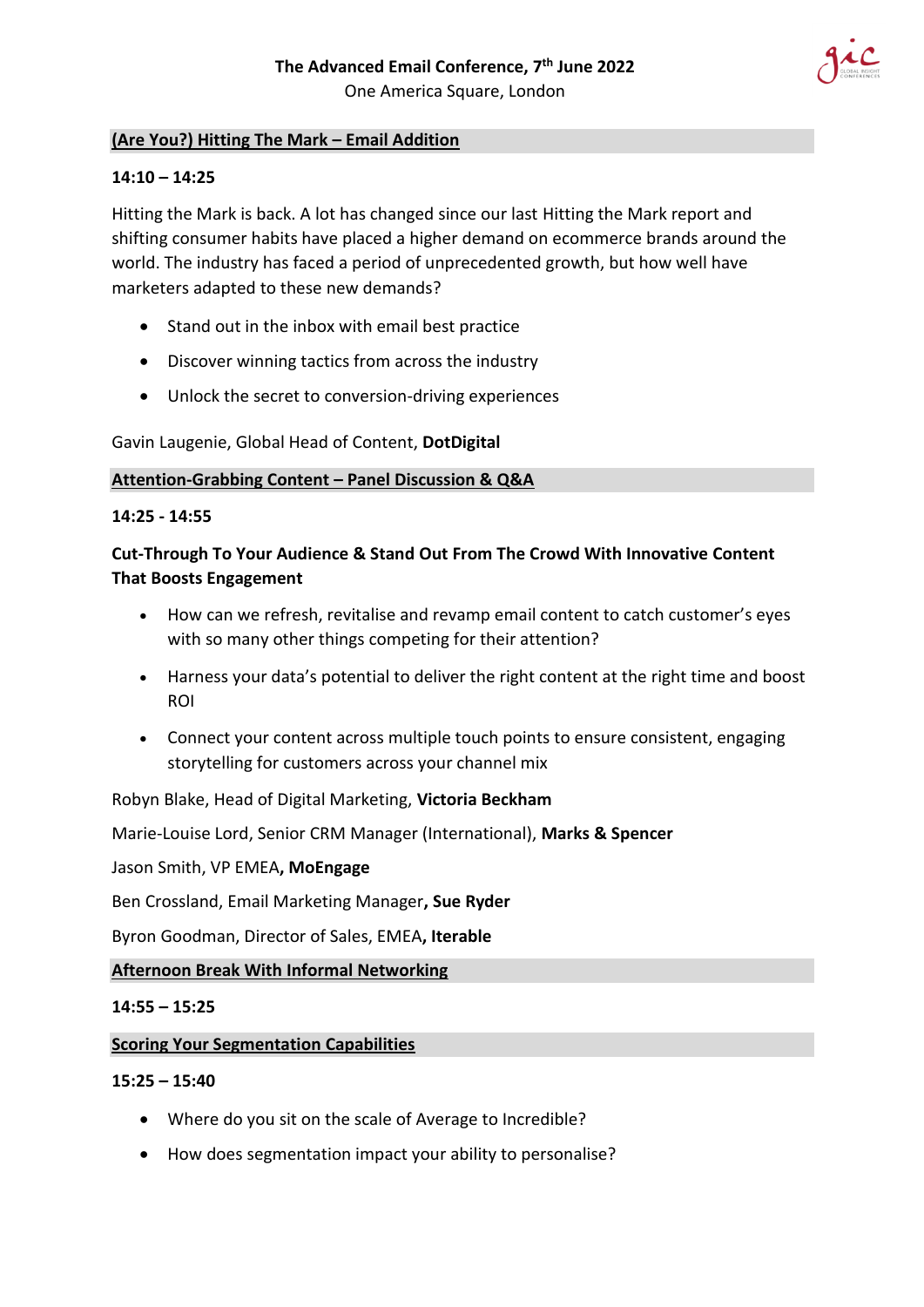

# **(Are You?) Hitting The Mark – Email Addition**

# **14:10 – 14:25**

Hitting the Mark is back. A lot has changed since our last Hitting the Mark report and shifting consumer habits have placed a higher demand on ecommerce brands around the world. The industry has faced a period of unprecedented growth, but how well have marketers adapted to these new demands?

- Stand out in the inbox with email best practice
- Discover winning tactics from across the industry
- Unlock the secret to conversion-driving experiences

Gavin Laugenie, Global Head of Content, **DotDigital** 

### **Attention-Grabbing Content – Panel Discussion & Q&A**

### **14:25 - 14:55**

# **Cut-Through To Your Audience & Stand Out From The Crowd With Innovative Content That Boosts Engagement**

- How can we refresh, revitalise and revamp email content to catch customer's eyes with so many other things competing for their attention?
- Harness your data's potential to deliver the right content at the right time and boost ROI
- Connect your content across multiple touch points to ensure consistent, engaging storytelling for customers across your channel mix

Robyn Blake, Head of Digital Marketing, **Victoria Beckham**

Marie-Louise Lord, Senior CRM Manager (International), **Marks & Spencer**

Jason Smith, VP EMEA**, MoEngage**

Ben Crossland, Email Marketing Manager**, Sue Ryder**

Byron Goodman, Director of Sales, EMEA**, Iterable**

## **Afternoon Break With Informal Networking**

## **14:55 – 15:25**

## **Scoring Your Segmentation Capabilities**

#### **15:25 – 15:40**

- Where do you sit on the scale of Average to Incredible?
- How does segmentation impact your ability to personalise?